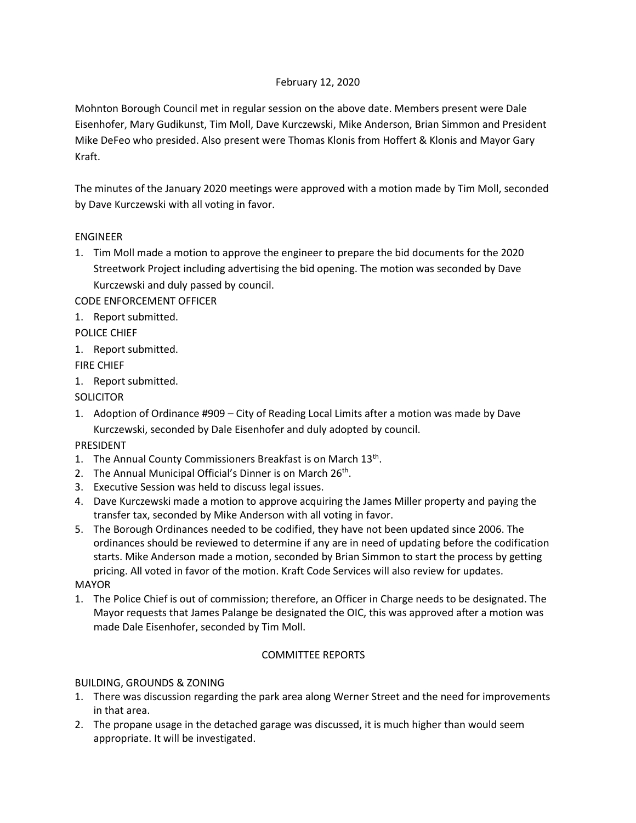# February 12, 2020

Mohnton Borough Council met in regular session on the above date. Members present were Dale Eisenhofer, Mary Gudikunst, Tim Moll, Dave Kurczewski, Mike Anderson, Brian Simmon and President Mike DeFeo who presided. Also present were Thomas Klonis from Hoffert & Klonis and Mayor Gary Kraft.

The minutes of the January 2020 meetings were approved with a motion made by Tim Moll, seconded by Dave Kurczewski with all voting in favor.

## ENGINEER

1. Tim Moll made a motion to approve the engineer to prepare the bid documents for the 2020 Streetwork Project including advertising the bid opening. The motion was seconded by Dave Kurczewski and duly passed by council.

CODE ENFORCEMENT OFFICER

1. Report submitted.

POLICE CHIEF

1. Report submitted.

FIRE CHIEF

1. Report submitted.

**SOLICITOR** 

1. Adoption of Ordinance #909 – City of Reading Local Limits after a motion was made by Dave Kurczewski, seconded by Dale Eisenhofer and duly adopted by council.

PRESIDENT

- 1. The Annual County Commissioners Breakfast is on March 13<sup>th</sup>.
- 2. The Annual Municipal Official's Dinner is on March 26<sup>th</sup>.
- 3. Executive Session was held to discuss legal issues.
- 4. Dave Kurczewski made a motion to approve acquiring the James Miller property and paying the transfer tax, seconded by Mike Anderson with all voting in favor.
- 5. The Borough Ordinances needed to be codified, they have not been updated since 2006. The ordinances should be reviewed to determine if any are in need of updating before the codification starts. Mike Anderson made a motion, seconded by Brian Simmon to start the process by getting pricing. All voted in favor of the motion. Kraft Code Services will also review for updates.

MAYOR

1. The Police Chief is out of commission; therefore, an Officer in Charge needs to be designated. The Mayor requests that James Palange be designated the OIC, this was approved after a motion was made Dale Eisenhofer, seconded by Tim Moll.

## COMMITTEE REPORTS

## BUILDING, GROUNDS & ZONING

- 1. There was discussion regarding the park area along Werner Street and the need for improvements in that area.
- 2. The propane usage in the detached garage was discussed, it is much higher than would seem appropriate. It will be investigated.